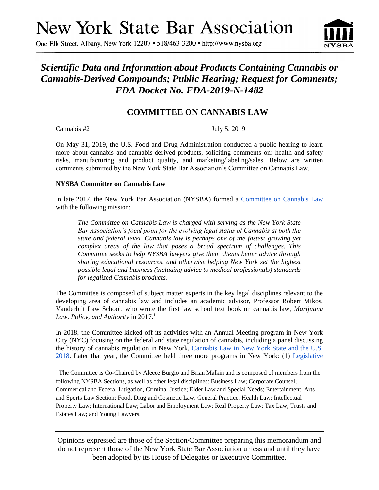# **New York State Bar Association**

One Elk Street, Albany, New York 12207 • 518/463-3200 • http://www.nysba.org

# *Scientific Data and Information about Products Containing Cannabis or Cannabis-Derived Compounds; Public Hearing; Request for Comments; FDA Docket No. FDA-2019-N-1482*

# **COMMITTEE ON CANNABIS LAW**

Cannabis #2 July 5, 2019

 $\overline{a}$ 

On May 31, 2019, the U.S. Food and Drug Administration conducted a public hearing to learn more about cannabis and cannabis-derived products, soliciting comments on: health and safety risks, manufacturing and product quality, and marketing/labeling/sales. Below are written comments submitted by the New York State Bar Association's Committee on Cannabis Law.

## **NYSBA Committee on Cannabis Law**

In late 2017, the New York Bar Association (NYSBA) formed a Committee on Cannabis Law with the following mission:

*The Committee on Cannabis Law is charged with serving as the New York State Bar Association's focal point for the evolving legal status of Cannabis at both the state and federal level. Cannabis law is perhaps one of the fastest growing yet complex areas of the law that poses a broad spectrum of challenges. This Committee seeks to help NYSBA lawyers give their clients better advice through sharing educational resources, and otherwise helping New York set the highest possible legal and business (including advice to medical professionals) standards for legalized Cannabis products.*

The Committee is composed of subject matter experts in the key legal disciplines relevant to the developing area of cannabis law and includes an academic advisor, Professor Robert Mikos, Vanderbilt Law School, who wrote the first law school text book on cannabis law, *Marijuana Law, Policy, and Authority* in 2017.<sup>1</sup>

In 2018, the Committee kicked off its activities with an Annual Meeting program in New York City (NYC) focusing on the federal and state regulation of cannabis, including a panel discussing the history of cannabis regulation in New York, Cannabis Law in New York State and the U.S. 2018. Later that year, the Committee held three more programs in New York: (1) Legislative

<sup>1</sup> The Committee is Co-Chaired by Aleece Burgio and Brian Malkin and is composed of members from the following NYSBA Sections, as well as other legal disciplines: Business Law; Corporate Counsel; Commerical and Federal Litigation, Criminal Justice; Elder Law and Special Needs; Entertainment, Arts and Sports Law Section; Food, Drug and Cosmetic Law, General Practice; Health Law; Intellectual Property Law; International Law; Labor and Employment Law; Real Property Law; Tax Law; Trusts and Estates Law; and Young Lawyers.

Opinions expressed are those of the Section/Committee preparing this memorandum and do not represent those of the New York State Bar Association unless and until they have been adopted by its House of Delegates or Executive Committee.

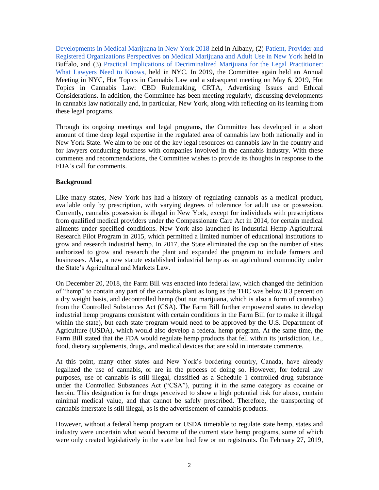Developments in Medical Marijuana in New York 2018 held in Albany, (2) Patient, Provider and Registered Organizations Perspectives on Medical Marijuana and Adult Use in New York held in Buffalo, and (3) Practical Implications of Decriminalized Marijuana for the Legal Practitioner: What Lawyers Need to Knows, held in NYC. In 2019, the Committee again held an Annual Meeting in NYC, Hot Topics in Cannabis Law and a subsequent meeting on May 6, 2019, Hot Topics in Cannabis Law: CBD Rulemaking, CRTA, Advertising Issues and Ethical Considerations. In addition, the Committee has been meeting regularly, discussing developments in cannabis law nationally and, in particular, New York, along with reflecting on its learning from these legal programs.

Through its ongoing meetings and legal programs, the Committee has developed in a short amount of time deep legal expertise in the regulated area of cannabis law both nationally and in New York State. We aim to be one of the key legal resources on cannabis law in the country and for lawyers conducting business with companies involved in the cannabis industry. With these comments and recommendations, the Committee wishes to provide its thoughts in response to the FDA's call for comments.

#### **Background**

Like many states, New York has had a history of regulating cannabis as a medical product, available only by prescription, with varying degrees of tolerance for adult use or possession. Currently, cannabis possession is illegal in New York, except for individuals with prescriptions from qualified medical providers under the Compassionate Care Act in 2014, for certain medical ailments under specified conditions. New York also launched its Industrial Hemp Agricultural Research Pilot Program in 2015, which permitted a limited number of educational institutions to grow and research industrial hemp. In 2017, the State eliminated the cap on the number of sites authorized to grow and research the plant and expanded the program to include farmers and businesses. Also, a new statute established industrial hemp as an agricultural commodity under the State's Agricultural and Markets Law.

On December 20, 2018, the Farm Bill was enacted into federal law, which changed the definition of "hemp" to contain any part of the cannabis plant as long as the THC was below 0.3 percent on a dry weight basis, and decontrolled hemp (but not marijuana, which is also a form of cannabis) from the Controlled Substances Act (CSA). The Farm Bill further empowered states to develop industrial hemp programs consistent with certain conditions in the Farm Bill (or to make it illegal within the state), but each state program would need to be approved by the U.S. Department of Agriculture (USDA), which would also develop a federal hemp program. At the same time, the Farm Bill stated that the FDA would regulate hemp products that fell within its jurisdiction, i.e., food, dietary supplements, drugs, and medical devices that are sold in interstate commerce.

At this point, many other states and New York's bordering country, Canada, have already legalized the use of cannabis, or are in the process of doing so. However, for federal law purposes, use of cannabis is still illegal, classified as a Schedule 1 controlled drug substance under the Controlled Substances Act ("CSA"), putting it in the same category as cocaine or heroin. This designation is for drugs perceived to show a high potential risk for abuse, contain minimal medical value, and that cannot be safely prescribed. Therefore, the transporting of cannabis interstate is still illegal, as is the advertisement of cannabis products.

However, without a federal hemp program or USDA timetable to regulate state hemp, states and industry were uncertain what would become of the current state hemp programs, some of which were only created legislatively in the state but had few or no registrants. On February 27, 2019,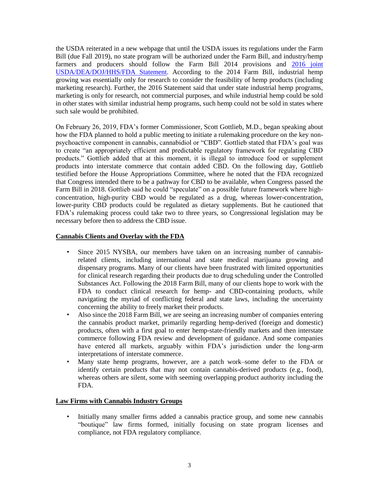the USDA reiterated in a new webpage that until the USDA issues its regulations under the Farm Bill (due Fall 2019), no state program will be authorized under the Farm Bill, and industry/hemp farmers and producers should follow the Farm Bill 2014 provisions and [2016 joint](https://www.govinfo.gov/content/pkg/FR-2016-08-12/pdf/2016-19146.pdf)  [USDA/DEA/DOJ/HHS/FDA](https://www.govinfo.gov/content/pkg/FR-2016-08-12/pdf/2016-19146.pdf) Statement. According to the 2014 Farm Bill, industrial hemp growing was essentially only for research to consider the feasibility of hemp products (including marketing research). Further, the 2016 Statement said that under state industrial hemp programs, marketing is only for research, not commercial purposes, and while industrial hemp could be sold in other states with similar industrial hemp programs, such hemp could not be sold in states where such sale would be prohibited.

On February 26, 2019, FDA's former Commissioner, Scott Gottlieb, M.D., began speaking about how the FDA planned to hold a public meeting to initiate a rulemaking procedure on the key nonpsychoactive component in cannabis, cannabidiol or "CBD". Gottlieb stated that FDA's goal was to create "an appropriately efficient and predictable regulatory framework for regulating CBD products." Gottlieb added that at this moment, it is illegal to introduce food or supplement products into interstate commerce that contain added CBD. On the following day, Gottlieb testified before the House Appropriations Committee, where he noted that the FDA recognized that Congress intended there to be a pathway for CBD to be available, when Congress passed the Farm Bill in 2018. Gottlieb said he could "speculate" on a possible future framework where highconcentration, high-purity CBD would be regulated as a drug, whereas lower-concentration, lower-purity CBD products could be regulated as dietary supplements. But he cautioned that FDA's rulemaking process could take two to three years, so Congressional legislation may be necessary before then to address the CBD issue.

#### **Cannabis Clients and Overlay with the FDA**

- Since 2015 NYSBA, our members have taken on an increasing number of cannabisrelated clients, including international and state medical marijuana growing and dispensary programs. Many of our clients have been frustrated with limited opportunities for clinical research regarding their products due to drug scheduling under the Controlled Substances Act. Following the 2018 Farm Bill, many of our clients hope to work with the FDA to conduct clinical research for hemp- and CBD-containing products, while navigating the myriad of conflicting federal and state laws, including the uncertainty concerning the ability to freely market their products.
- Also since the 2018 Farm Bill, we are seeing an increasing number of companies entering the cannabis product market, primarily regarding hemp-derived (foreign and domestic) products, often with a first goal to enter hemp-state-friendly markets and then interstate commerce following FDA review and development of guidance. And some companies have entered all markets, arguably within FDA's jurisdiction under the long-arm interpretations of interstate commerce.
- Many state hemp programs, however, are a patch work–some defer to the FDA or identify certain products that may not contain cannabis-derived products (e.g., food), whereas others are silent, some with seeming overlapping product authority including the FDA.

## **Law Firms with Cannabis Industry Groups**

• Initially many smaller firms added a cannabis practice group, and some new cannabis "boutique" law firms formed, initially focusing on state program licenses and compliance, not FDA regulatory compliance.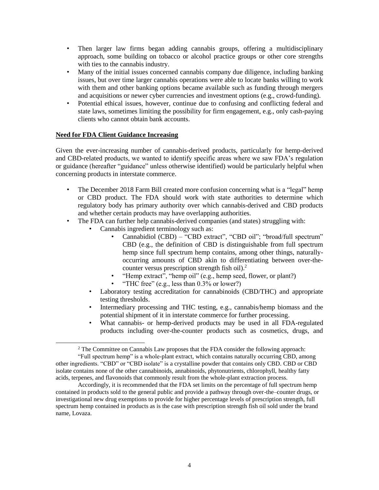- Then larger law firms began adding cannabis groups, offering a multidisciplinary approach, some building on tobacco or alcohol practice groups or other core strengths with ties to the cannabis industry.
- Many of the initial issues concerned cannabis company due diligence, including banking issues, but over time larger cannabis operations were able to locate banks willing to work with them and other banking options became available such as funding through mergers and acquisitions or newer cyber currencies and investment options (e.g., crowd-funding).
- Potential ethical issues, however, continue due to confusing and conflicting federal and state laws, sometimes limiting the possibility for firm engagement, e.g., only cash-paying clients who cannot obtain bank accounts.

## **Need for FDA Client Guidance Increasing**

 $\overline{a}$ 

Given the ever-increasing number of cannabis-derived products, particularly for hemp-derived and CBD-related products, we wanted to identify specific areas where we saw FDA's regulation or guidance (hereafter "guidance" unless otherwise identified) would be particularly helpful when concerning products in interstate commerce.

- The December 2018 Farm Bill created more confusion concerning what is a "legal" hemp or CBD product. The FDA should work with state authorities to determine which regulatory body has primary authority over which cannabis-derived and CBD products and whether certain products may have overlapping authorities.
- The FDA can further help cannabis-derived companies (and states) struggling with:
	- Cannabis ingredient terminology such as:
		- Cannabidiol (CBD) "CBD extract", "CBD oil"; "broad/full spectrum" CBD (e.g., the definition of CBD is distinguishable from full spectrum hemp since full spectrum hemp contains, among other things, naturallyoccurring amounts of CBD akin to differentiating between over-thecounter versus prescription strength fish oil).<sup>2</sup>
		- "Hemp extract", "hemp oil" (e.g., hemp seed, flower, or plant?)
		- "THC free" (e.g., less than  $0.3\%$  or lower?)
	- Laboratory testing accreditation for cannabinoids (CBD/THC) and appropriate testing thresholds.
	- Intermediary processing and THC testing, e.g., cannabis/hemp biomass and the potential shipment of it in interstate commerce for further processing.
	- What cannabis- or hemp-derived products may be used in all FDA-regulated products including over-the-counter products such as cosmetics, drugs, and

<sup>&</sup>lt;sup>2</sup> The Committee on Cannabis Law proposes that the FDA consider the following approach:

<sup>&</sup>quot;Full spectrum hemp" is a whole-plant extract, which contains naturally occurring CBD, among other ingredients. "CBD" or "CBD isolate" is a crystalline powder that contains only CBD. CBD or CBD isolate contains none of the other cannabinoids, annabinoids, phytonutrients, chlorophyll, healthy fatty acids, terpenes, and flavonoids that commonly result from the whole-plant extraction process.

Accordingly, it is recommended that the FDA set limits on the percentage of full spectrum hemp contained in products sold to the general public and provide a pathway through over-the–counter drugs, or investigational new drug exemptions to provide for higher percentage levels of prescription strength, full spectrum hemp contained in products as is the case with prescription strength fish oil sold under the brand name, Lovaza.